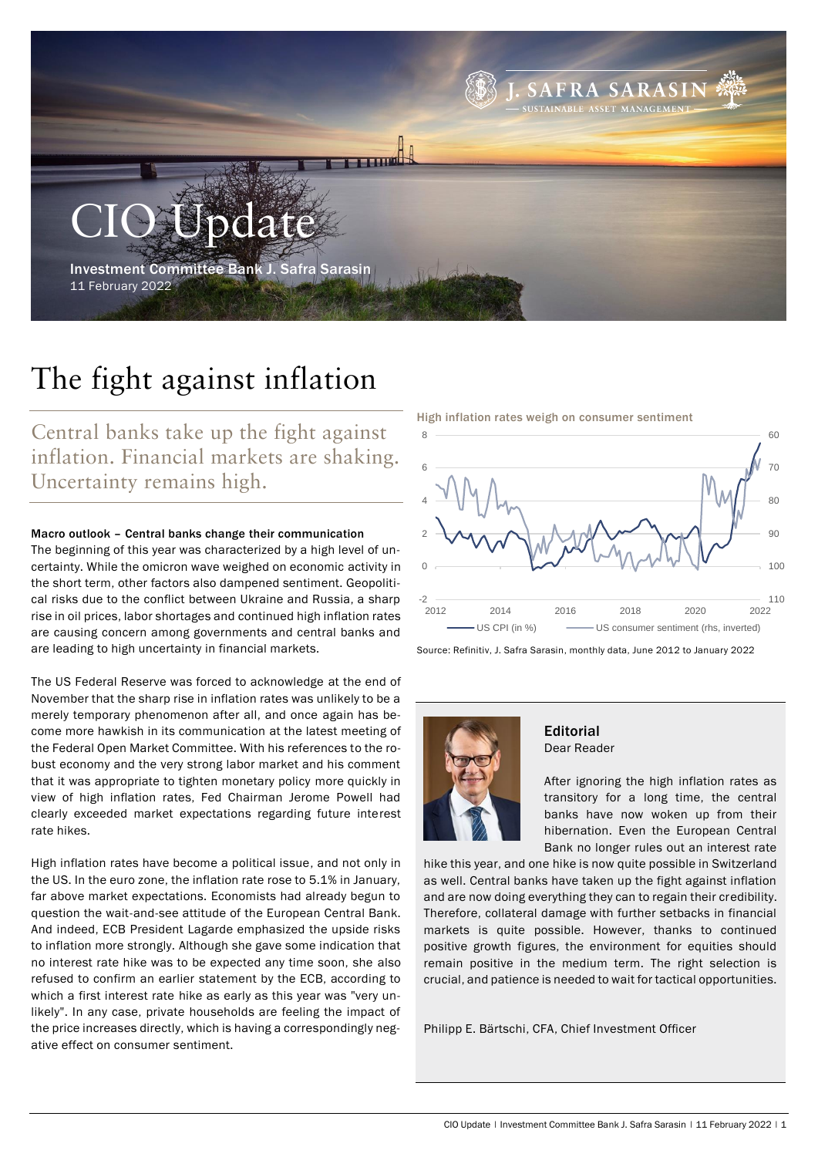

# The fight against inflation

Central banks take up the fight against inflation. Financial markets are shaking. Uncertainty remains high.

# Macro outlook – Central banks change their communication

The beginning of this year was characterized by a high level of uncertainty. While the omicron wave weighed on economic activity in the short term, other factors also dampened sentiment. Geopolitical risks due to the conflict between Ukraine and Russia, a sharp rise in oil prices, labor shortages and continued high inflation rates are causing concern among governments and central banks and are leading to high uncertainty in financial markets.

The US Federal Reserve was forced to acknowledge at the end of November that the sharp rise in inflation rates was unlikely to be a merely temporary phenomenon after all, and once again has become more hawkish in its communication at the latest meeting of the Federal Open Market Committee. With his references to the robust economy and the very strong labor market and his comment that it was appropriate to tighten monetary policy more quickly in view of high inflation rates, Fed Chairman Jerome Powell had clearly exceeded market expectations regarding future interest rate hikes.

High inflation rates have become a political issue, and not only in the US. In the euro zone, the inflation rate rose to 5.1% in January, far above market expectations. Economists had already begun to question the wait-and-see attitude of the European Central Bank. And indeed, ECB President Lagarde emphasized the upside risks to inflation more strongly. Although she gave some indication that no interest rate hike was to be expected any time soon, she also refused to confirm an earlier statement by the ECB, according to which a first interest rate hike as early as this year was "very unlikely". In any case, private households are feeling the impact of the price increases directly, which is having a correspondingly negative effect on consumer sentiment.

High inflation rates weigh on consumer sentiment



Source: Refinitiv, J. Safra Sarasin, monthly data, June 2012 to January 2022



### Editorial Dear Reader

After ignoring the high inflation rates as transitory for a long time, the central banks have now woken up from their hibernation. Even the European Central Bank no longer rules out an interest rate

hike this year, and one hike is now quite possible in Switzerland as well. Central banks have taken up the fight against inflation and are now doing everything they can to regain their credibility. Therefore, collateral damage with further setbacks in financial markets is quite possible. However, thanks to continued positive growth figures, the environment for equities should remain positive in the medium term. The right selection is crucial, and patience is needed to wait for tactical opportunities.

Philipp E. Bärtschi, CFA, Chief Investment Officer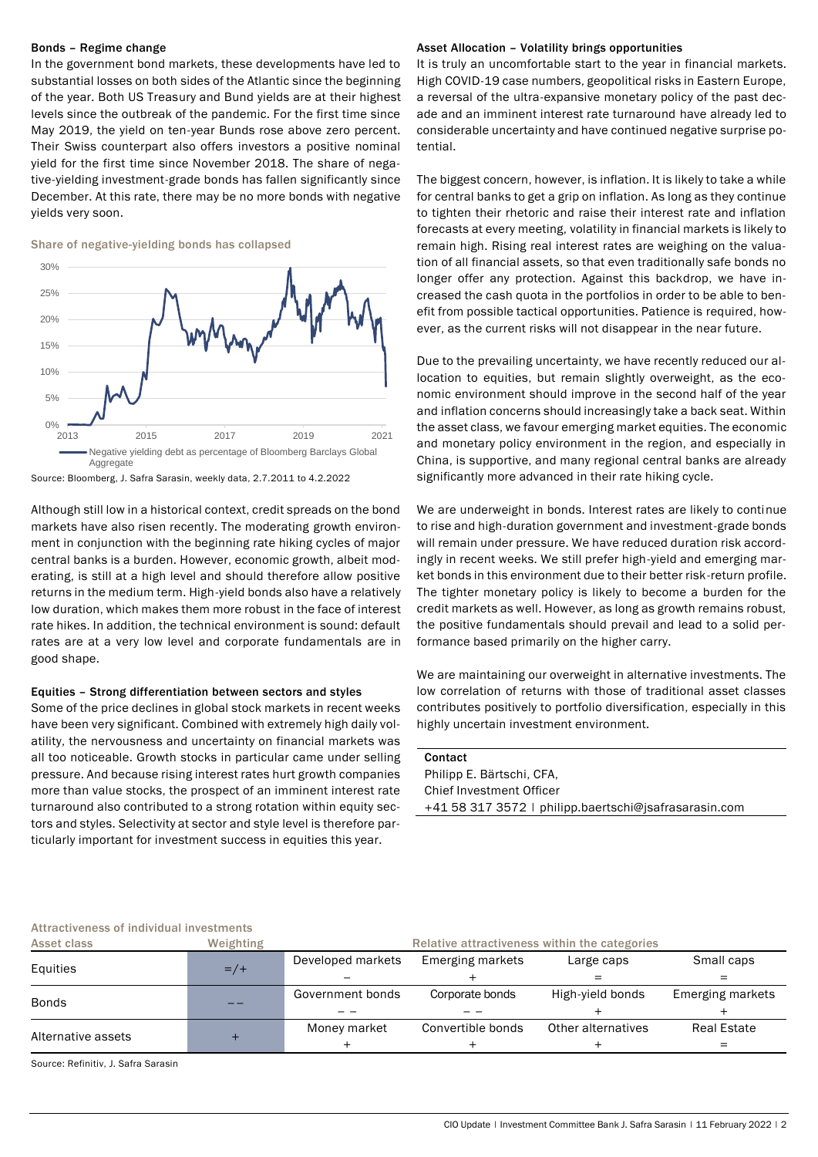#### Bonds – Regime change

In the government bond markets, these developments have led to substantial losses on both sides of the Atlantic since the beginning of the year. Both US Treasury and Bund yields are at their highest levels since the outbreak of the pandemic. For the first time since May 2019, the yield on ten-year Bunds rose above zero percent. Their Swiss counterpart also offers investors a positive nominal yield for the first time since November 2018. The share of negative-yielding investment-grade bonds has fallen significantly since December. At this rate, there may be no more bonds with negative yields very soon.





Source: Bloomberg, J. Safra Sarasin, weekly data, 2.7.2011 to 4.2.2022

Although still low in a historical context, credit spreads on the bond markets have also risen recently. The moderating growth environment in conjunction with the beginning rate hiking cycles of major central banks is a burden. However, economic growth, albeit moderating, is still at a high level and should therefore allow positive returns in the medium term. High-yield bonds also have a relatively low duration, which makes them more robust in the face of interest rate hikes. In addition, the technical environment is sound: default rates are at a very low level and corporate fundamentals are in good shape.

# Equities – Strong differentiation between sectors and styles

Some of the price declines in global stock markets in recent weeks have been very significant. Combined with extremely high daily volatility, the nervousness and uncertainty on financial markets was all too noticeable. Growth stocks in particular came under selling pressure. And because rising interest rates hurt growth companies more than value stocks, the prospect of an imminent interest rate turnaround also contributed to a strong rotation within equity sectors and styles. Selectivity at sector and style level is therefore particularly important for investment success in equities this year.

#### Asset Allocation – Volatility brings opportunities

It is truly an uncomfortable start to the year in financial markets. High COVID-19 case numbers, geopolitical risks in Eastern Europe, a reversal of the ultra-expansive monetary policy of the past decade and an imminent interest rate turnaround have already led to considerable uncertainty and have continued negative surprise potential.

The biggest concern, however, is inflation. It is likely to take a while for central banks to get a grip on inflation. As long as they continue to tighten their rhetoric and raise their interest rate and inflation forecasts at every meeting, volatility in financial markets is likely to remain high. Rising real interest rates are weighing on the valuation of all financial assets, so that even traditionally safe bonds no longer offer any protection. Against this backdrop, we have increased the cash quota in the portfolios in order to be able to benefit from possible tactical opportunities. Patience is required, however, as the current risks will not disappear in the near future.

Due to the prevailing uncertainty, we have recently reduced our allocation to equities, but remain slightly overweight, as the economic environment should improve in the second half of the year and inflation concerns should increasingly take a back seat. Within the asset class, we favour emerging market equities. The economic and monetary policy environment in the region, and especially in China, is supportive, and many regional central banks are already significantly more advanced in their rate hiking cycle.

We are underweight in bonds. Interest rates are likely to continue to rise and high-duration government and investment-grade bonds will remain under pressure. We have reduced duration risk accordingly in recent weeks. We still prefer high-yield and emerging market bonds in this environment due to their better risk-return profile. The tighter monetary policy is likely to become a burden for the credit markets as well. However, as long as growth remains robust, the positive fundamentals should prevail and lead to a solid performance based primarily on the higher carry.

We are maintaining our overweight in alternative investments. The low correlation of returns with those of traditional asset classes contributes positively to portfolio diversification, especially in this highly uncertain investment environment.

| Contact                                               |
|-------------------------------------------------------|
| Philipp E. Bärtschi, CFA,                             |
| Chief Investment Officer                              |
| +41 58 317 3572   philipp.baertschi@jsafrasarasin.com |
|                                                       |

#### Attractiveness of individual investments

| Asset class        | Weighting | Relative attractiveness within the categories |                   |                    |                  |
|--------------------|-----------|-----------------------------------------------|-------------------|--------------------|------------------|
| Equities           | $=$ /+    | Developed markets                             | Emerging markets  | Large caps         | Small caps       |
|                    |           |                                               |                   |                    | =                |
| <b>Bonds</b>       |           | Government bonds                              | Corporate bonds   | High-yield bonds   | Emerging markets |
|                    |           |                                               |                   |                    |                  |
|                    |           | Money market                                  | Convertible bonds | Other alternatives | Real Estate      |
| Alternative assets |           |                                               |                   |                    |                  |

Source: Refinitiv, J. Safra Sarasin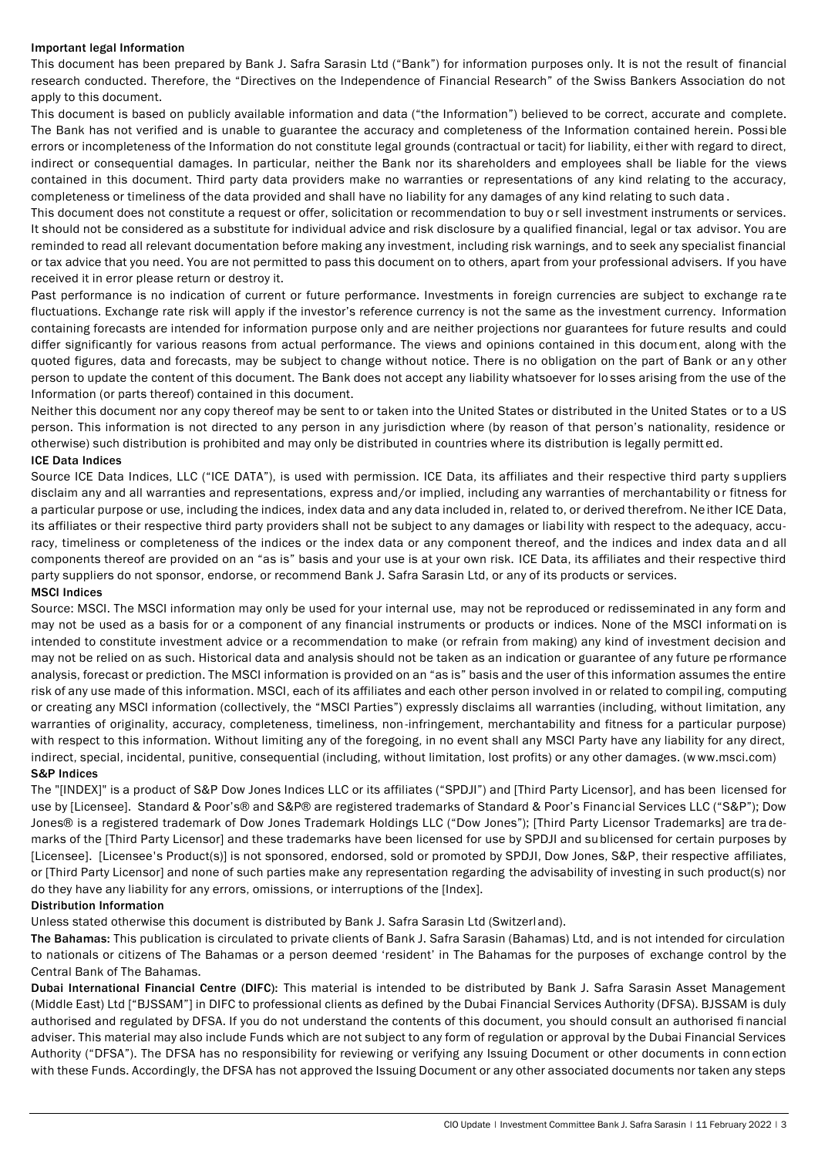# Important legal Information

This document has been prepared by Bank J. Safra Sarasin Ltd ("Bank") for information purposes only. It is not the result of financial research conducted. Therefore, the "Directives on the Independence of Financial Research" of the Swiss Bankers Association do not apply to this document.

This document is based on publicly available information and data ("the Information") believed to be correct, accurate and complete. The Bank has not verified and is unable to guarantee the accuracy and completeness of the Information contained herein. Possi ble errors or incompleteness of the Information do not constitute legal grounds (contractual or tacit) for liability, either with regard to direct, indirect or consequential damages. In particular, neither the Bank nor its shareholders and employees shall be liable for the views contained in this document. Third party data providers make no warranties or representations of any kind relating to the accuracy, completeness or timeliness of the data provided and shall have no liability for any damages of any kind relating to such data .

This document does not constitute a request or offer, solicitation or recommendation to buy or sell investment instruments or services. It should not be considered as a substitute for individual advice and risk disclosure by a qualified financial, legal or tax advisor. You are reminded to read all relevant documentation before making any investment, including risk warnings, and to seek any specialist financial or tax advice that you need. You are not permitted to pass this document on to others, apart from your professional advisers. If you have received it in error please return or destroy it.

Past performance is no indication of current or future performance. Investments in foreign currencies are subject to exchange ra te fluctuations. Exchange rate risk will apply if the investor's reference currency is not the same as the investment currency. Information containing forecasts are intended for information purpose only and are neither projections nor guarantees for future results and could differ significantly for various reasons from actual performance. The views and opinions contained in this document, along with the quoted figures, data and forecasts, may be subject to change without notice. There is no obligation on the part of Bank or an y other person to update the content of this document. The Bank does not accept any liability whatsoever for lo sses arising from the use of the Information (or parts thereof) contained in this document.

Neither this document nor any copy thereof may be sent to or taken into the United States or distributed in the United States or to a US person. This information is not directed to any person in any jurisdiction where (by reason of that person's nationality, residence or otherwise) such distribution is prohibited and may only be distributed in countries where its distribution is legally permitt ed. ICE Data Indices

Source ICE Data Indices, LLC ("ICE DATA"), is used with permission. ICE Data, its affiliates and their respective third party s uppliers disclaim any and all warranties and representations, express and/or implied, including any warranties of merchantability or fitness for a particular purpose or use, including the indices, index data and any data included in, related to, or derived therefrom. Ne ither ICE Data, its affiliates or their respective third party providers shall not be subject to any damages or liabi lity with respect to the adequacy, accuracy, timeliness or completeness of the indices or the index data or any component thereof, and the indices and index data and all components thereof are provided on an "as is" basis and your use is at your own risk. ICE Data, its affiliates and their respective third party suppliers do not sponsor, endorse, or recommend Bank J. Safra Sarasin Ltd, or any of its products or services.

# MSCI Indices

Source: MSCI. The MSCI information may only be used for your internal use, may not be reproduced or redisseminated in any form and may not be used as a basis for or a component of any financial instruments or products or indices. None of the MSCI informati on is intended to constitute investment advice or a recommendation to make (or refrain from making) any kind of investment decision and may not be relied on as such. Historical data and analysis should not be taken as an indication or guarantee of any future pe rformance analysis, forecast or prediction. The MSCI information is provided on an "as is" basis and the user of this information assumes the entire risk of any use made of this information. MSCI, each of its affiliates and each other person involved in or related to compil ing, computing or creating any MSCI information (collectively, the "MSCI Parties") expressly disclaims all warranties (including, without limitation, any warranties of originality, accuracy, completeness, timeliness, non-infringement, merchantability and fitness for a particular purpose) with respect to this information. Without limiting any of the foregoing, in no event shall any MSCI Party have any liability for any direct, indirect, special, incidental, punitive, consequential (including, without limitation, lost profits) or any other damages. (www.msci.com) S&P Indices

The "[INDEX]" is a product of S&P Dow Jones Indices LLC or its affiliates ("SPDJI") and [Third Party Licensor], and has been licensed for use by [Licensee]. Standard & Poor's® and S&P® are registered trademarks of Standard & Poor's Financial Services LLC ("S&P"); Dow Jones® is a registered trademark of Dow Jones Trademark Holdings LLC ("Dow Jones"); [Third Party Licensor Trademarks] are tra demarks of the [Third Party Licensor] and these trademarks have been licensed for use by SPDJI and sublicensed for certain purposes by [Licensee]. [Licensee's Product(s)] is not sponsored, endorsed, sold or promoted by SPDJI, Dow Jones, S&P, their respective affiliates, or [Third Party Licensor] and none of such parties make any representation regarding the advisability of investing in such product(s) nor do they have any liability for any errors, omissions, or interruptions of the [Index].

## Distribution Information

Unless stated otherwise this document is distributed by Bank J. Safra Sarasin Ltd (Switzerland).

The Bahamas: This publication is circulated to private clients of Bank J. Safra Sarasin (Bahamas) Ltd, and is not intended for circulation to nationals or citizens of The Bahamas or a person deemed 'resident' in The Bahamas for the purposes of exchange control by the Central Bank of The Bahamas.

Dubai International Financial Centre (DIFC): This material is intended to be distributed by Bank J. Safra Sarasin Asset Management (Middle East) Ltd ["BJSSAM"] in DIFC to professional clients as defined by the Dubai Financial Services Authority (DFSA). BJSSAM is duly authorised and regulated by DFSA. If you do not understand the contents of this document, you should consult an authorised fi nancial adviser. This material may also include Funds which are not subject to any form of regulation or approval by the Dubai Financial Services Authority ("DFSA"). The DFSA has no responsibility for reviewing or verifying any Issuing Document or other documents in conn ection with these Funds. Accordingly, the DFSA has not approved the Issuing Document or any other associated documents nor taken any steps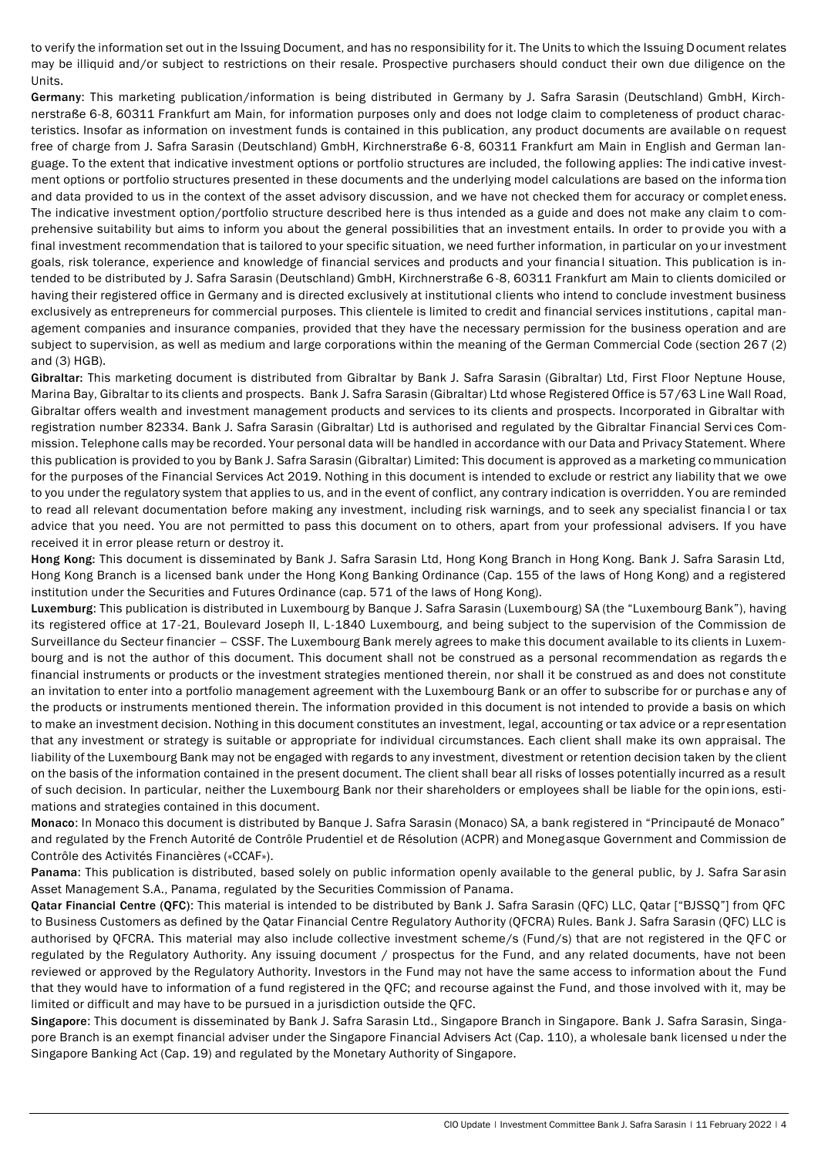to verify the information set out in the Issuing Document, and has no responsibility for it. The Units to which the Issuing Document relates may be illiquid and/or subject to restrictions on their resale. Prospective purchasers should conduct their own due diligence on the Units.

Germany: This marketing publication/information is being distributed in Germany by J. Safra Sarasin (Deutschland) GmbH, Kirchnerstraße 6-8, 60311 Frankfurt am Main, for information purposes only and does not lodge claim to completeness of product characteristics. Insofar as information on investment funds is contained in this publication, any product documents are available on request free of charge from J. Safra Sarasin (Deutschland) GmbH, Kirchnerstraße 6-8, 60311 Frankfurt am Main in English and German language. To the extent that indicative investment options or portfolio structures are included, the following applies: The indi cative investment options or portfolio structures presented in these documents and the underlying model calculations are based on the informa tion and data provided to us in the context of the asset advisory discussion, and we have not checked them for accuracy or complet eness. The indicative investment option/portfolio structure described here is thus intended as a guide and does not make any claim to comprehensive suitability but aims to inform you about the general possibilities that an investment entails. In order to provide you with a final investment recommendation that is tailored to your specific situation, we need further information, in particular on your investment goals, risk tolerance, experience and knowledge of financial services and products and your financial situation. This publication is intended to be distributed by J. Safra Sarasin (Deutschland) GmbH, Kirchnerstraße 6-8, 60311 Frankfurt am Main to clients domiciled or having their registered office in Germany and is directed exclusively at institutional clients who intend to conclude investment business exclusively as entrepreneurs for commercial purposes. This clientele is limited to credit and financial services institutions , capital management companies and insurance companies, provided that they have the necessary permission for the business operation and are subject to supervision, as well as medium and large corporations within the meaning of the German Commercial Code (section 267 (2) and (3) HGB).

Gibraltar: This marketing document is distributed from Gibraltar by Bank J. Safra Sarasin (Gibraltar) Ltd, First Floor Neptune House, Marina Bay, Gibraltar to its clients and prospects. Bank J. Safra Sarasin (Gibraltar) Ltd whose Registered Office is 57/63 L ine Wall Road, Gibraltar offers wealth and investment management products and services to its clients and prospects. Incorporated in Gibraltar with registration number 82334. Bank J. Safra Sarasin (Gibraltar) Ltd is authorised and regulated by the Gibraltar Financial Servi ces Commission. Telephone calls may be recorded. Your personal data will be handled in accordance with our Data and Privacy Statement. Where this publication is provided to you by Bank J. Safra Sarasin (Gibraltar) Limited: This document is approved as a marketing co mmunication for the purposes of the Financial Services Act 2019. Nothing in this document is intended to exclude or restrict any liability that we owe to you under the regulatory system that applies to us, and in the event of conflict, any contrary indication is overridden. You are reminded to read all relevant documentation before making any investment, including risk warnings, and to seek any specialist financia l or tax advice that you need. You are not permitted to pass this document on to others, apart from your professional advisers. If you have received it in error please return or destroy it.

Hong Kong: This document is disseminated by Bank J. Safra Sarasin Ltd, Hong Kong Branch in Hong Kong. Bank J. Safra Sarasin Ltd, Hong Kong Branch is a licensed bank under the Hong Kong Banking Ordinance (Cap. 155 of the laws of Hong Kong) and a registered institution under the Securities and Futures Ordinance (cap. 571 of the laws of Hong Kong).

Luxemburg: This publication is distributed in Luxembourg by Banque J. Safra Sarasin (Luxembourg) SA (the "Luxembourg Bank"), having its registered office at 17-21, Boulevard Joseph II, L-1840 Luxembourg, and being subject to the supervision of the Commission de Surveillance du Secteur financier – CSSF. The Luxembourg Bank merely agrees to make this document available to its clients in Luxembourg and is not the author of this document. This document shall not be construed as a personal recommendation as regards th e financial instruments or products or the investment strategies mentioned therein, nor shall it be construed as and does not constitute an invitation to enter into a portfolio management agreement with the Luxembourg Bank or an offer to subscribe for or purchas e any of the products or instruments mentioned therein. The information provided in this document is not intended to provide a basis on which to make an investment decision. Nothing in this document constitutes an investment, legal, accounting or tax advice or a repr esentation that any investment or strategy is suitable or appropriate for individual circumstances. Each client shall make its own appraisal. The liability of the Luxembourg Bank may not be engaged with regards to any investment, divestment or retention decision taken by the client on the basis of the information contained in the present document. The client shall bear all risks of losses potentially incurred as a result of such decision. In particular, neither the Luxembourg Bank nor their shareholders or employees shall be liable for the opin ions, estimations and strategies contained in this document.

Monaco: In Monaco this document is distributed by Banque J. Safra Sarasin (Monaco) SA, a bank registered in "Principauté de Monaco" and regulated by the French Autorité de Contrôle Prudentiel et de Résolution (ACPR) and Monegasque Government and Commission de Contrôle des Activités Financières («CCAF»).

Panama: This publication is distributed, based solely on public information openly available to the general public, by J. Safra Sar asin Asset Management S.A., Panama, regulated by the Securities Commission of Panama.

Qatar Financial Centre (QFC): This material is intended to be distributed by Bank J. Safra Sarasin (QFC) LLC, Qatar ["BJSSQ"] from QFC to Business Customers as defined by the Qatar Financial Centre Regulatory Authority (QFCRA) Rules. Bank J. Safra Sarasin (QFC) LLC is authorised by QFCRA. This material may also include collective investment scheme/s (Fund/s) that are not registered in the QFC or regulated by the Regulatory Authority. Any issuing document / prospectus for the Fund, and any related documents, have not been reviewed or approved by the Regulatory Authority. Investors in the Fund may not have the same access to information about the Fund that they would have to information of a fund registered in the QFC; and recourse against the Fund, and those involved with it, may be limited or difficult and may have to be pursued in a jurisdiction outside the QFC.

Singapore: This document is disseminated by Bank J. Safra Sarasin Ltd., Singapore Branch in Singapore. Bank J. Safra Sarasin, Singapore Branch is an exempt financial adviser under the Singapore Financial Advisers Act (Cap. 110), a wholesale bank licensed u nder the Singapore Banking Act (Cap. 19) and regulated by the Monetary Authority of Singapore.